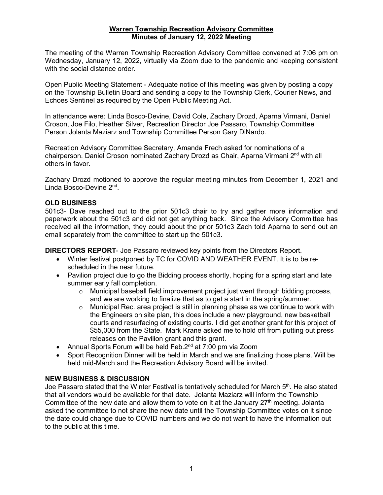## **Warren Township Recreation Advisory Committee Minutes of January 12, 2022 Meeting**

The meeting of the Warren Township Recreation Advisory Committee convened at 7:06 pm on Wednesday, January 12, 2022, virtually via Zoom due to the pandemic and keeping consistent with the social distance order.

Open Public Meeting Statement - Adequate notice of this meeting was given by posting a copy on the Township Bulletin Board and sending a copy to the Township Clerk, Courier News, and Echoes Sentinel as required by the Open Public Meeting Act.

In attendance were: Linda Bosco-Devine, David Cole, Zachary Drozd, Aparna Virmani, Daniel Croson, Joe Filo, Heather Silver, Recreation Director Joe Passaro, Township Committee Person Jolanta Maziarz and Township Committee Person Gary DiNardo.

Recreation Advisory Committee Secretary, Amanda Frech asked for nominations of a chairperson. Daniel Croson nominated Zachary Drozd as Chair, Aparna Virmani 2<sup>nd</sup> with all others in favor.

Zachary Drozd motioned to approve the regular meeting minutes from December 1, 2021 and Linda Bosco-Devine 2nd.

## **OLD BUSINESS**

501c3- Dave reached out to the prior 501c3 chair to try and gather more information and paperwork about the 501c3 and did not get anything back. Since the Advisory Committee has received all the information, they could about the prior 501c3 Zach told Aparna to send out an email separately from the committee to start up the 501c3.

**DIRECTORS REPORT**- Joe Passaro reviewed key points from the Directors Report.

- Winter festival postponed by TC for COVID AND WEATHER EVENT. It is to be rescheduled in the near future.
- Pavilion project due to go the Bidding process shortly, hoping for a spring start and late summer early fall completion.
	- $\circ$  Municipal baseball field improvement project just went through bidding process, and we are working to finalize that as to get a start in the spring/summer.
	- $\circ$  Municipal Rec. area project is still in planning phase as we continue to work with the Engineers on site plan, this does include a new playground, new basketball courts and resurfacing of existing courts. I did get another grant for this project of \$55,000 from the State. Mark Krane asked me to hold off from putting out press releases on the Pavilion grant and this grant.
- Annual Sports Forum will be held Feb.2<sup>nd</sup> at 7:00 pm via Zoom
- Sport Recognition Dinner will be held in March and we are finalizing those plans. Will be held mid-March and the Recreation Advisory Board will be invited.

## **NEW BUSINESS & DISCUSSION**

Joe Passaro stated that the Winter Festival is tentatively scheduled for March 5<sup>th</sup>. He also stated that all vendors would be available for that date. Jolanta Maziarz will inform the Township Committee of the new date and allow them to vote on it at the January  $27<sup>th</sup>$  meeting. Jolanta asked the committee to not share the new date until the Township Committee votes on it since the date could change due to COVID numbers and we do not want to have the information out to the public at this time.